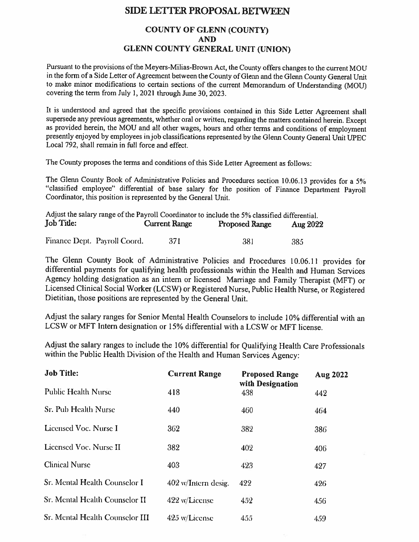## **SIDE LETTER PROPOSALBETWEEN**

## **COUNTY OF GLENN (COUNTY) AND GLENN COUNTY GENERAL UNIT (UNION)**

Pursuant to the provisions of the Meyers-Milias-Brown Act, the County offers changes to the current MOU in the form of <sup>a</sup> Side Letter of Agreement between theCounty of Glenn and the Glenn County General Unit to make minor modifications to certain sections of the current Memorandum of Understanding (MOU) covering the term from July <sup>1</sup>, <sup>2021</sup> through June <sup>30</sup>, <sup>2023</sup>.

It is understood and agreed that the specific provisions contained in this Side Letter Agreement shall supersede any previous agreements, whether oral or written, regarding the matters contained herein. Except as provided herein, the MOU and all other wages, hours and other terms and conditions of employment presently enjoyed by employees in job classifications represented by the Glenn County General Unit UPEC Local 792, shall remain in full force and effect.

The County proposes the terms and conditions of this Side Letter Agreement as follows:

The Glenn County Book of Administrative Policies and Procedures section 10.06.<sup>13</sup> provides for <sup>a</sup> <sup>5</sup>% "classified employee" differential of base salary for the position of Finance Department Payroll Coordinator, this position is represented by the General Unit.

| Adjust the salary range of the Payroll Coordinator to include the 5% classified differential. |  |                      |                       |                 |  |  |
|-----------------------------------------------------------------------------------------------|--|----------------------|-----------------------|-----------------|--|--|
| <b>Job Title:</b>                                                                             |  | <b>Current Range</b> | <b>Proposed Range</b> | <b>Aug 2022</b> |  |  |
| Finance Dept. Payroll Coord.                                                                  |  | 371                  | 381                   | 385             |  |  |

The Glenn County Book of Administrative Policies and Procedures 10.06.<sup>11</sup> provides for differential payments for qualifying health professionals within the Health and Human Services Agency holding designation as an intern or licensed Marriage and Family Therapist (MFT) or Licensed Clinical Social Worker (LCSW) or Registered Nurse, Public Health Nurse, or Registered Dietitian, those positions are represented by the General Unit.

Adjust the salary ranges for Senior Mental Health Counselors to include <sup>10</sup>% differential with an LCSW or MFT Intern designation or <sup>15</sup>% differential with <sup>a</sup> LCSW or MFT license.

Adjust the salary ranges to include the <sup>10</sup>% differential for Qualifying Health Care Professionals within the Public Health Division of the Health and Human Services Agency:

| <b>Job Title:</b>               | <b>Current Range</b> | <b>Proposed Range</b>   | Aug 2022 |  |
|---------------------------------|----------------------|-------------------------|----------|--|
| <b>Public Health Nurse</b>      | 418                  | with Designation<br>438 | 442      |  |
| Sr. Pub Health Nurse            | 440                  | 460                     | 464      |  |
| Licensed Voc. Nurse I           | 362                  | 382                     | 386      |  |
| Licensed Voc. Nurse II          | 382                  | 402                     | 406      |  |
| <b>Clinical Nurse</b>           | 403                  | 423                     | 427      |  |
| Sr. Mental Health Counselor I   | 402 w/Intern desig.  | 422                     | 426      |  |
| Sr. Mental Health Counselor II  | 422 w/License        | 452                     | 456      |  |
| Sr. Mental Health Counselor III | 425 w/License        | 455                     | 459      |  |